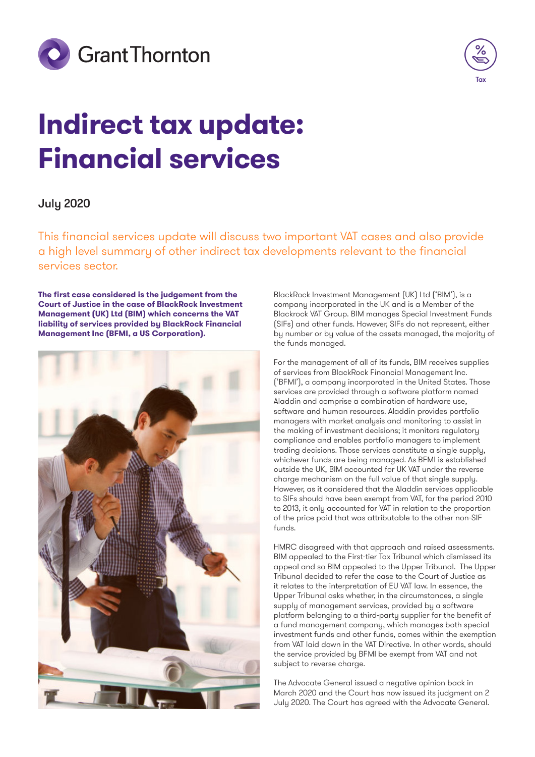



# **Indirect tax update: Financial services**

# July 2020

This financial services update will discuss two important VAT cases and also provide a high level summary of other indirect tax developments relevant to the financial services sector.

**The first case considered is the judgement from the Court of Justice in the case of BlackRock Investment Management (UK) Ltd (BIM) which concerns the VAT liability of services provided by BlackRock Financial Management Inc (BFMI, a US Corporation).**



BlackRock Investment Management (UK) Ltd ('BIM'), is a company incorporated in the UK and is a Member of the Blackrock VAT Group. BIM manages Special Investment Funds (SIFs) and other funds. However, SIFs do not represent, either by number or by value of the assets managed, the majority of the funds managed.

For the management of all of its funds, BIM receives supplies of services from BlackRock Financial Management Inc. ('BFMI'), a company incorporated in the United States. Those services are provided through a software platform named Aladdin and comprise a combination of hardware use, software and human resources. Aladdin provides portfolio managers with market analysis and monitoring to assist in the making of investment decisions; it monitors regulatory compliance and enables portfolio managers to implement trading decisions. Those services constitute a single supply, whichever funds are being managed. As BFMI is established outside the UK, BIM accounted for UK VAT under the reverse charge mechanism on the full value of that single supply. However, as it considered that the Aladdin services applicable to SIFs should have been exempt from VAT, for the period 2010 to 2013, it only accounted for VAT in relation to the proportion of the price paid that was attributable to the other non-SIF funds.

HMRC disagreed with that approach and raised assessments. BIM appealed to the First-tier Tax Tribunal which dismissed its appeal and so BIM appealed to the Upper Tribunal. The Upper Tribunal decided to refer the case to the Court of Justice as it relates to the interpretation of EU VAT law. In essence, the Upper Tribunal asks whether, in the circumstances, a single supply of management services, provided by a software platform belonging to a third-party supplier for the benefit of a fund management company, which manages both special investment funds and other funds, comes within the exemption from VAT laid down in the VAT Directive. In other words, should the service provided by BFMI be exempt from VAT and not subject to reverse charge.

The Advocate General issued a negative opinion back in March 2020 and the Court has now issued its judgment on 2 July 2020. The Court has agreed with the Advocate General.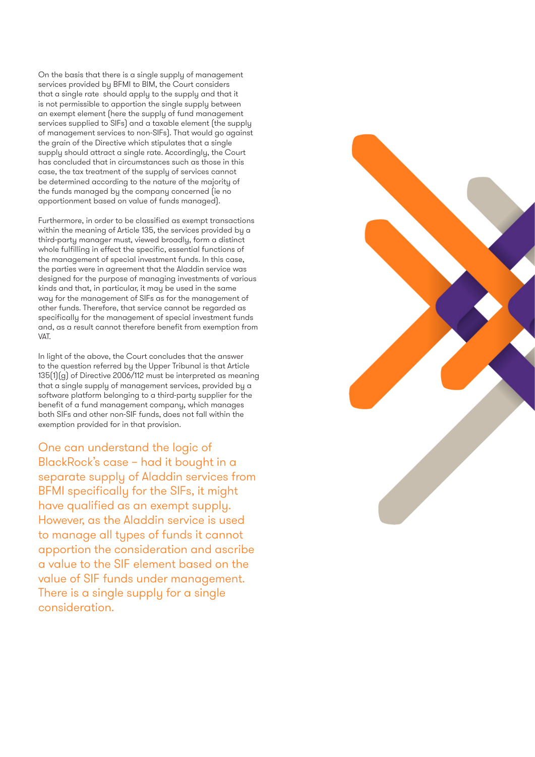On the basis that there is a single supply of management services provided by BFMI to BIM, the Court considers that a single rate should apply to the supply and that it is not permissible to apportion the single supply between an exempt element (here the supply of fund management services supplied to SIFs) and a taxable element (the supply of management services to non-SIFs). That would go against the grain of the Directive which stipulates that a single supply should attract a single rate. Accordingly, the Court has concluded that in circumstances such as those in this case, the tax treatment of the supply of services cannot be determined according to the nature of the majority of the funds managed by the company concerned (ie no apportionment based on value of funds managed).

Furthermore, in order to be classified as exempt transactions within the meaning of Article 135, the services provided by a third-party manager must, viewed broadly, form a distinct whole fulfilling in effect the specific, essential functions of the management of special investment funds. In this case, the parties were in agreement that the Aladdin service was designed for the purpose of managing investments of various kinds and that, in particular, it may be used in the same way for the management of SIFs as for the management of other funds. Therefore, that service cannot be regarded as specifically for the management of special investment funds and, as a result cannot therefore benefit from exemption from VAT.

In light of the above, the Court concludes that the answer to the question referred by the Upper Tribunal is that Article 135(1)(g) of Directive 2006/112 must be interpreted as meaning that a single supply of management services, provided by a software platform belonging to a third-party supplier for the benefit of a fund management company, which manages both SIFs and other non-SIF funds, does not fall within the exemption provided for in that provision.

One can understand the logic of BlackRock's case – had it bought in a separate supply of Aladdin services from BFMI specifically for the SIFs, it might have qualified as an exempt supply. However, as the Aladdin service is used to manage all types of funds it cannot apportion the consideration and ascribe a value to the SIF element based on the value of SIF funds under management. There is a single supply for a single consideration.

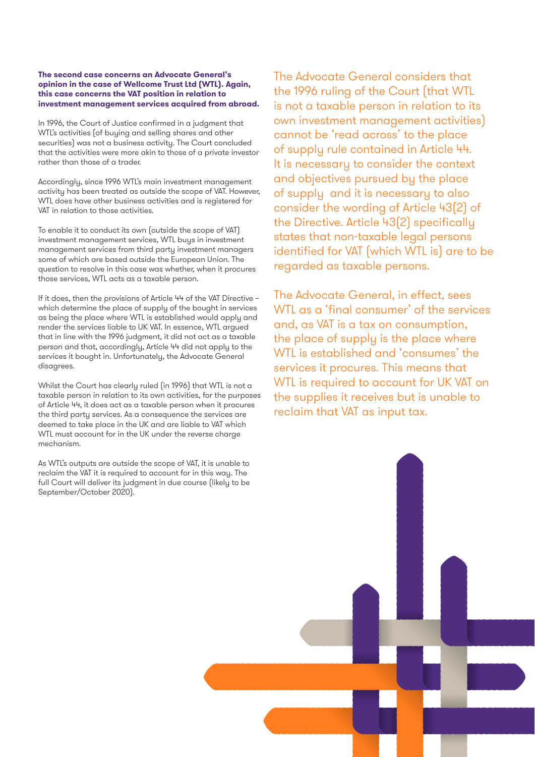### **The second case concerns an Advocate General's opinion in the case of Wellcome Trust Ltd (WTL). Again, this case concerns the VAT position in relation to investment management services acquired from abroad.**

In 1996, the Court of Justice confirmed in a judgment that WTL's activities (of buying and selling shares and other securities) was not a business activity. The Court concluded that the activities were more akin to those of a private investor rather than those of a trader.

Accordingly, since 1996 WTL's main investment management activity has been treated as outside the scope of VAT. However, WTL does have other business activities and is registered for VAT in relation to those activities.

To enable it to conduct its own (outside the scope of VAT) investment management services, WTL buys in investment management services from third party investment managers some of which are based outside the European Union. The question to resolve in this case was whether, when it procures those services, WTL acts as a taxable person.

If it does, then the provisions of Article 44 of the VAT Directive – which determine the place of supply of the bought in services as being the place where WTL is established would apply and render the services liable to UK VAT. In essence, WTL argued that in line with the 1996 judgment, it did not act as a taxable person and that, accordingly, Article 44 did not apply to the services it bought in. Unfortunately, the Advocate General disagrees.

Whilst the Court has clearly ruled (in 1996) that WTL is not a taxable person in relation to its own activities, for the purposes of Article 44, it does act as a taxable person when it procures the third party services. As a consequence the services are deemed to take place in the UK and are liable to VAT which WTL must account for in the UK under the reverse charge mechanism.

As WTL's outputs are outside the scope of VAT, it is unable to reclaim the VAT it is required to account for in this way. The full Court will deliver its judgment in due course (likely to be September/October 2020).

The Advocate General considers that the 1996 ruling of the Court (that WTL is not a taxable person in relation to its own investment management activities) cannot be 'read across' to the place of supply rule contained in Article 44. It is necessary to consider the context and objectives pursued by the place of supply and it is necessary to also consider the wording of Article 43(2) of the Directive. Article 43(2) specifically states that non-taxable legal persons identified for VAT (which WTL is) are to be regarded as taxable persons.

The Advocate General, in effect, sees WTL as a 'final consumer' of the services and, as VAT is a tax on consumption, the place of supply is the place where WTL is established and 'consumes' the services it procures. This means that WTL is required to account for UK VAT on the supplies it receives but is unable to reclaim that VAT as input tax.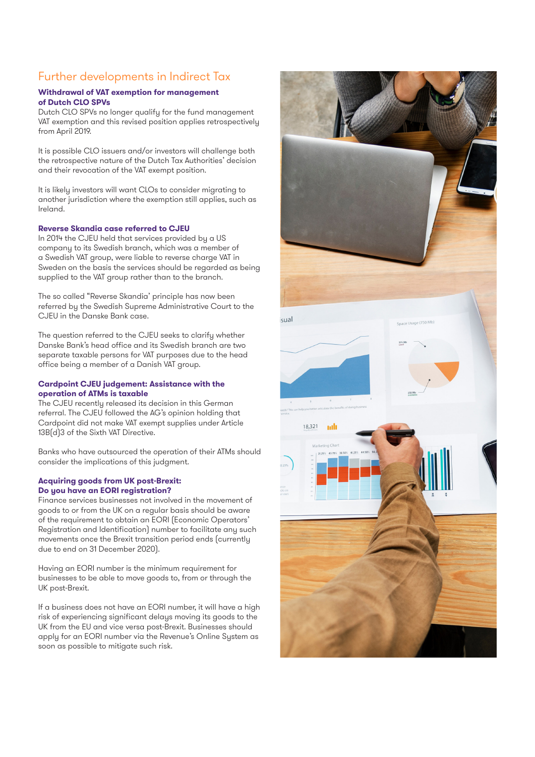# Further developments in Indirect Tax

## **Withdrawal of VAT exemption for management of Dutch CLO SPVs**

Dutch CLO SPVs no longer qualify for the fund management VAT exemption and this revised position applies retrospectively from April 2019.

It is possible CLO issuers and/or investors will challenge both the retrospective nature of the Dutch Tax Authorities' decision and their revocation of the VAT exempt position.

It is likely investors will want CLOs to consider migrating to another jurisdiction where the exemption still applies, such as Ireland.

## **Reverse Skandia case referred to CJEU**

In 2014 the CJEU held that services provided by a US company to its Swedish branch, which was a member of a Swedish VAT group, were liable to reverse charge VAT in Sweden on the basis the services should be regarded as being supplied to the VAT group rather than to the branch.

The so called "Reverse Skandia' principle has now been referred by the Swedish Supreme Administrative Court to the CJEU in the Danske Bank case.

The question referred to the CJEU seeks to clarify whether Danske Bank's head office and its Swedish branch are two separate taxable persons for VAT purposes due to the head office being a member of a Danish VAT group.

### **Cardpoint CJEU judgement: Assistance with the operation of ATMs is taxable**

The CJEU recently released its decision in this German referral. The CJEU followed the AG's opinion holding that Cardpoint did not make VAT exempt supplies under Article 13B(d)3 of the Sixth VAT Directive.

Banks who have outsourced the operation of their ATMs should consider the implications of this judgment.

## **Acquiring goods from UK post-Brexit: Do you have an EORI registration?**

Finance services businesses not involved in the movement of goods to or from the UK on a regular basis should be aware of the requirement to obtain an EORI (Economic Operators' Registration and Identification) number to facilitate any such movements once the Brexit transition period ends (currently due to end on 31 December 2020).

Having an EORI number is the minimum requirement for businesses to be able to move goods to, from or through the UK post-Brexit.

If a business does not have an EORI number, it will have a high risk of experiencing significant delays moving its goods to the UK from the EU and vice versa post-Brexit. Businesses should apply for an EORI number via the Revenue's Online System as soon as possible to mitigate such risk.